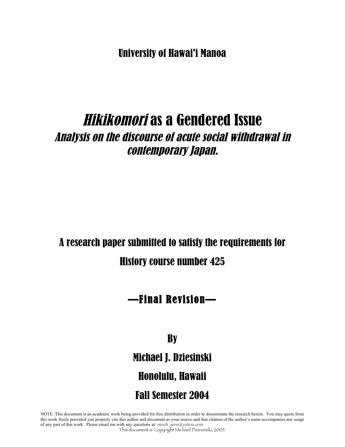University of Hawai'i Manoa

# Hikikomori as a Gendered Issue Analysis on the discourse of acute social withdrawal in contemporary Japan.

# A research paper submitted to satisfy the requirements for History course number 425

## —Final Revision—

## **By**

Michael J. Dziesinski

## Honolulu, Hawaii

## Fall Semester 2004

NOTE: This document is an academic work being provided for free distribution in order to disseminate the research herein. You may quote from this work freely provided you properly cite this author and document as your source and that citation of the author's name accompanies any usage of any part of this work. Please email me with any questions at: enoch\_arise@yahoo.com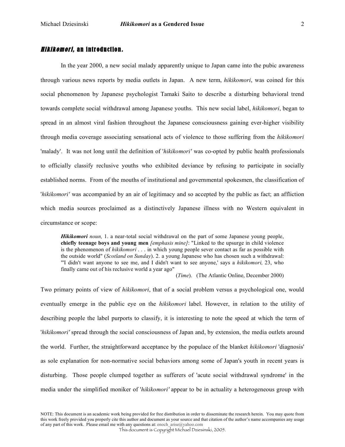In the year 2000, a new social malady apparently unique to Japan came into the pubic awareness through various news reports by media outlets in Japan. A new term, *hikikomori*, was coined for this social phenomenon by Japanese psychologist Tamaki Saito to describe a disturbing behavioral trend towards complete social withdrawal among Japanese youths. This new social label, *hikikomori*, began to spread in an almost viral fashion throughout the Japanese consciousness gaining ever-higher visibility through media coverage associating sensational acts of violence to those suffering from the *hikikomori* 'malady'. It was not long until the definition of '*hikikomori'* was co-opted by public health professionals to officially classify reclusive youths who exhibited deviance by refusing to participate in socially established norms. From of the mouths of institutional and governmental spokesmen, the classification of '*hikikomori'* was accompanied by an air of legitimacy and so accepted by the public as fact; an affliction which media sources proclaimed as a distinctively Japanese illness with no Western equivalent in circumstance or scope:

*Hikikomori noun,* 1. a near-total social withdrawal on the part of some Japanese young people, **chiefly teenage boys and young men** *[emphasis mine]*: "Linked to the upsurge in child violence is the phenomenon of *hikikomori* . . . in which young people sever contact as far as possible with the outside world" (*Scotland on Sunday*). 2. a young Japanese who has chosen such a withdrawal: "'I didn't want anyone to see me, and I didn't want to see anyone,' says a *hikikomori,* 23, who finally came out of his reclusive world a year ago"

(*Time*). (The Atlantic Online, December 2000)

Two primary points of view of *hikikomori*, that of a social problem versus a psychological one, would eventually emerge in the public eye on the *hikikomori* label. However, in relation to the utility of describing people the label purports to classify, it is interesting to note the speed at which the term of '*hikikomori'* spread through the social consciousness of Japan and, by extension, the media outlets around the world. Further, the straightforward acceptance by the populace of the blanket *hikikomori* 'diagnosis' as sole explanation for non-normative social behaviors among some of Japan's youth in recent years is disturbing. Those people clumped together as sufferers of 'acute social withdrawal syndrome' in the media under the simplified moniker of '*hikikomori'* appear to be in actuality a heterogeneous group with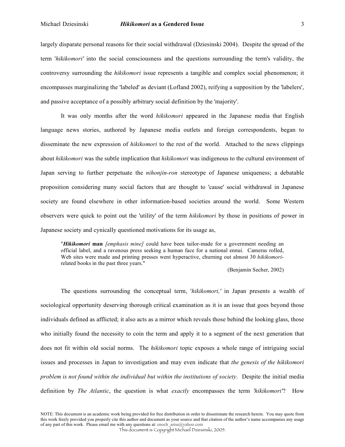largely disparate personal reasons for their social withdrawal (Dziesinski 2004). Despite the spread of the term '*hikikomori'* into the social consciousness and the questions surrounding the term's validity, the controversy surrounding the *hikikomori* issue represents a tangible and complex social phenomenon; it encompasses marginalizing the 'labeled' as deviant (Lofland 2002), reifying a supposition by the 'labelers', and passive acceptance of a possibly arbitrary social definition by the 'majority'.

It was only months after the word *hikikomori* appeared in the Japanese media that English language news stories, authored by Japanese media outlets and foreign correspondents, began to disseminate the new expression of *hikikomori* to the rest of the world. Attached to the news clippings about *hikikomori* was the subtle implication that *hikikomori* was indigenous to the cultural environment of Japan serving to further perpetuate the *nihonjin-ron* stereotype of Japanese uniqueness; a debatable proposition considering many social factors that are thought to 'cause' social withdrawal in Japanese society are found elsewhere in other information-based societies around the world. Some Western observers were quick to point out the 'utility' of the term *hikikomori* by those in positions of power in Japanese society and cynically questioned motivations for its usage as,

"*Hikikomori* **man** *[emphasis mine]* could have been tailor-made for a government needing an official label, and a ravenous press seeking a human face for a national ennui. Cameras rolled, Web sites were made and printing presses went hyperactive, churning out almost 30 *hikikomori*related books in the past three years."

(Benjamin Secher, 2002)

The questions surrounding the conceptual term, '*hikikomori,'* in Japan presents a wealth of sociological opportunity deserving thorough critical examination as it is an issue that goes beyond those individuals defined as afflicted; it also acts as a mirror which reveals those behind the looking glass, those who initially found the necessity to coin the term and apply it to a segment of the next generation that does not fit within old social norms. The *hikikomori* topic exposes a whole range of intriguing social issues and processes in Japan to investigation and may even indicate that *the genesis of the hikikomori problem is not found within the individual but within the institutions of society*. Despite the initial media definition by *The Atlantic*, the question is what *exactly* encompasses the term *'hikikomori'*? How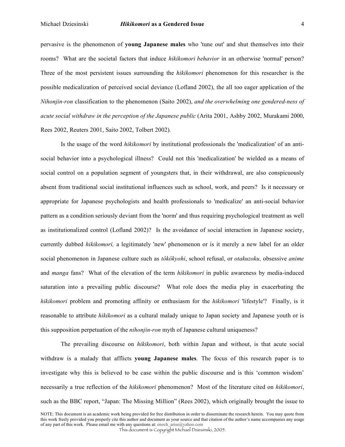#### Michael Dziesinski *Hikikomori* **as a Gendered Issue** 4

pervasive is the phenomenon of **young Japanese males** who 'tune out' and shut themselves into their rooms? What are the societal factors that induce *hikikomori behavior* in an otherwise 'normal' person? Three of the most persistent issues surrounding the *hikikomori* phenomenon for this researcher is the possible medicalization of perceived social deviance (Lofland 2002), the all too eager application of the *Nihonjin-ron* classification to the phenomenon (Saito 2002), *and the overwhelming one gendered-ness of acute social withdraw in the perception of the Japanese public* (Arita 2001, Ashby 2002, Murakami 2000, Rees 2002, Reuters 2001, Saito 2002, Tolbert 2002)*.*

Is the usage of the word *hikikomori* by institutional professionals the 'medicalization' of an antisocial behavior into a psychological illness? Could not this 'medicalization' be wielded as a means of social control on a population segment of youngsters that, in their withdrawal, are also conspicuously absent from traditional social institutional influences such as school, work, and peers? Is it necessary or appropriate for Japanese psychologists and health professionals to 'medicalize' an anti-social behavior pattern as a condition seriously deviant from the 'norm' and thus requiring psychological treatment as well as institutionalized control (Lofland 2002)? Is the avoidance of social interaction in Japanese society, currently dubbed *hikikomori,* a legitimately 'new' phenomenon or is it merely a new label for an older social phenomenon in Japanese culture such as *tôkôkyohi*, school refusal, or *otakuzoku,* obsessive *anime* and *manga* fans? What of the elevation of the term *hikikomori* in public awareness by media-induced saturation into a prevailing public discourse? What role does the media play in exacerbating the *hikikomori* problem and promoting affinity or enthusiasm for the *hikikomori* 'lifestyle'? Finally, is it reasonable to attribute *hikikomori* as a cultural malady unique to Japan society and Japanese youth or is this supposition perpetuation of the *nihonjin-ron* myth of Japanese cultural uniqueness?

The prevailing discourse on *hikikomori*, both within Japan and without, is that acute social withdraw is a malady that afflicts **young Japanese males**. The focus of this research paper is to investigate why this is believed to be case within the public discourse and is this 'common wisdom' necessarily a true reflection of the *hikikomori* phenomenon? Most of the literature cited on *hikikomori*, such as the BBC report, "Japan: The Missing Million" (Rees 2002), which originally brought the issue to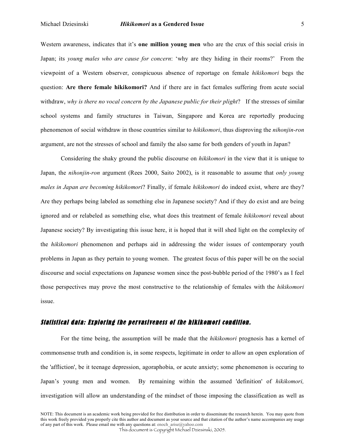Western awareness, indicates that it's **one million young men** who are the crux of this social crisis in Japan; its *young males who are cause for concern*: 'why are they hiding in their rooms?' From the viewpoint of a Western observer, conspicuous absence of reportage on female *hikikomori* begs the question: **Are there female hikikomori?** And if there are in fact females suffering from acute social withdraw, *why is there no vocal concern by the Japanese public for their plight*? If the stresses of similar school systems and family structures in Taiwan, Singapore and Korea are reportedly producing phenomenon of social withdraw in those countries similar to *hikikomori*, thus disproving the *nihonjin-ron* argument, are not the stresses of school and family the also same for both genders of youth in Japan?

Considering the shaky ground the public discourse on *hikikomori* in the view that it is unique to Japan, the *nihonjin-ron* argument (Rees 2000, Saito 2002), is it reasonable to assume that *only young males in Japan are becoming hikikomori*? Finally, if female *hikikomori* do indeed exist, where are they? Are they perhaps being labeled as something else in Japanese society? And if they do exist and are being ignored and or relabeled as something else, what does this treatment of female *hikikomori* reveal about Japanese society? By investigating this issue here, it is hoped that it will shed light on the complexity of the *hikikomori* phenomenon and perhaps aid in addressing the wider issues of contemporary youth problems in Japan as they pertain to young women. The greatest focus of this paper will be on the social discourse and social expectations on Japanese women since the post-bubble period of the 1980's as I feel those perspectives may prove the most constructive to the relationship of females with the *hikikomori* issue.

### Statistical data: Exploring the per vasiveness of the hikikomori condition.

For the time being, the assumption will be made that the *hikikomori* prognosis has a kernel of commonsense truth and condition is, in some respects, legitimate in order to allow an open exploration of the 'affliction', be it teenage depression, agoraphobia, or acute anxiety; some phenomenon is occuring to Japan's young men and women. By remaining within the assumed 'definition' of *hikikomori,* investigation will allow an understanding of the mindset of those imposing the classification as well as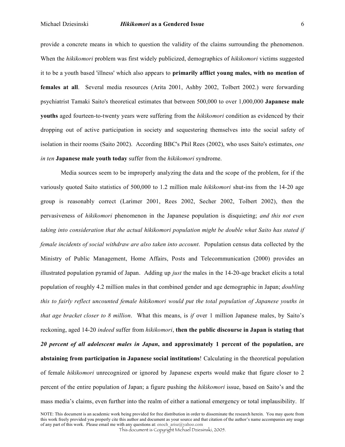#### Michael Dziesinski *Hikikomori* **as a Gendered Issue** 6

provide a concrete means in which to question the validity of the claims surrounding the phenomenon. When the *hikikomori* problem was first widely publicized, demographics of *hikikomori* victims suggested it to be a youth based 'illness' which also appears to **primarily afflict young males, with no mention of females at all**. Several media resources (Arita 2001, Ashby 2002, Tolbert 2002.) were forwarding psychiatrist Tamaki Saito's theoretical estimates that between 500,000 to over 1,000,000 **Japanese male youths** aged fourteen-to-twenty years were suffering from the *hikikomori* condition as evidenced by their dropping out of active participation in society and sequestering themselves into the social safety of isolation in their rooms (Saito 2002). According BBC's Phil Rees (2002), who uses Saito's estimates, *one in ten* **Japanese male youth today** suffer from the *hikikomori* syndrome.

Media sources seem to be improperly analyzing the data and the scope of the problem, for if the variously quoted Saito statistics of 500,000 to 1.2 million male *hikikomori* shut-ins from the 14-20 age group is reasonably correct (Larimer 2001, Rees 2002, Secher 2002, Tolbert 2002), then the pervasiveness of *hikikomori* phenomenon in the Japanese population is disquieting; *and this not even taking into consideration that the actual hikikomori population might be double what Saito has stated if female incidents of social withdraw are also taken into account*. Population census data collected by the Ministry of Public Management, Home Affairs, Posts and Telecommunication (2000) provides an illustrated population pyramid of Japan. Adding up *just* the males in the 14-20-age bracket elicits a total population of roughly 4.2 million males in that combined gender and age demographic in Japan; *doubling this to fairly reflect uncounted female hikikomori would put the total population of Japanese youths in that age bracket closer to 8 million*. What this means, is *if* over 1 million Japanese males, by Saito's reckoning, aged 14-20 *indeed* suffer from *hikikomori*, **then the public discourse in Japan is stating that** *20 percent of all adolescent males in Japan***, and approximately 1 percent of the population, are abstaining from participation in Japanese social institutions**! Calculating in the theoretical population of female *hikikomori* unrecognized or ignored by Japanese experts would make that figure closer to 2 percent of the entire population of Japan; a figure pushing the *hikikomori* issue, based on Saito's and the mass media's claims, even further into the realm of either a national emergency or total implausibility. If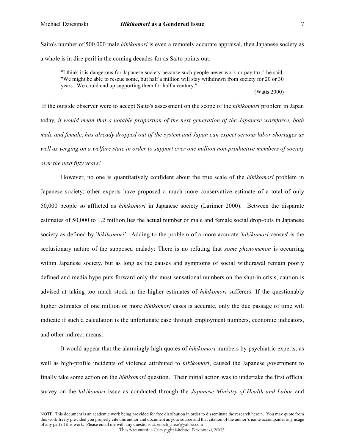Saito's number of 500,000 male *hikikomori* is even a remotely accurate appraisal, then Japanese society as a whole is in dire peril in the coming decades for as Saito points out:

"I think it is dangerous for Japanese society because such people never work or pay tax," he said. "We might be able to rescue some, but half a million will stay withdrawn from society for 20 or 30 years. We could end up supporting them for half a century."

(Watts 2000)

If the outside observer were to accept Saito's assessment on the scope of the *hikikomori* problem in Japan today*, it would mean that a notable proportion of the next generation of the Japanese workforce, both male and female, has already dropped out of the system and Japan can expect serious labor shortages as well as verging on a welfare state in order to support over one million non-productive members of society over the next fifty years!*

However, no one is quantitatively confident about the true scale of the *hikikomori* problem in Japanese society; other experts have proposed a much more conservative estimate of a total of only 50,000 people so afflicted as *hikikomori* in Japanese society (Larimer 2000). Between the disparate estimates of 50,000 to 1.2 million lies the actual number of male and female social drop-outs in Japanese society as defined by '*hikikomori'*. Adding to the problem of a more accurate '*hikikomori* census' is the seclusionary nature of the supposed malady: There is no refuting that *some phenomenon* is occurring within Japanese society, but as long as the causes and symptoms of social withdrawal remain poorly defined and media hype puts forward only the most sensational numbers on the shut-in crisis, caution is advised at taking too much stock in the higher estimates of *hikikomori* sufferers. If the questionably higher estimates of one million or more *hikikomori* cases is accurate, only the due passage of time will indicate if such a calculation is the unfortunate case through employment numbers, economic indicators, and other indirect means.

It would appear that the alarmingly high quotes of *hikikomori* numbers by psychiatric experts, as well as high-profile incidents of violence attributed to *hikikomori*, caused the Japanese government to finally take some action on the *hikikomori* question. Their initial action was to undertake the first official survey on the *hikikomori* issue as conducted through the *Japanese Ministry of Health and Labor* and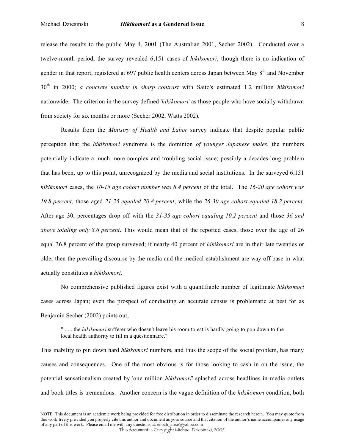release the results to the public May 4, 2001 (The Australian 2001, Secher 2002). Conducted over a twelve-month period, the survey revealed 6,151 cases of *hikikomori*, though there is no indication of gender in that report, registered at 697 public health centers across Japan between May 8<sup>th</sup> and November 30th in 2000; *a concrete number in sharp contrast* with Saito's estimated 1.2 million *hikikomori* nationwide. The criterion in the survey defined '*hikikomori*' as those people who have socially withdrawn from society for six months or more (Secher 2002, Watts 2002).

Results from the *Ministry of Health and Labor* survey indicate that despite popular public perception that the *hikikomori* syndrome is the dominion *of younger Japanese males*, the numbers potentially indicate a much more complex and troubling social issue; possibly a decades-long problem that has been, up to this point, unrecognized by the media and social institutions. In the surveyed 6,151 *hikikomori* cases, the *10-15 age cohort number was 8.4 percent* of the total. The *16-20 age cohort was 19.8 percent*, those aged *21-25 equaled 20.8 percent*, while the *26-30 age cohort equaled 18.2 percent*. After age 30, percentages drop off with the *31-35 age cohort equaling 10.2 percent* and those *36 and above totaling only 8.6 percent*. This would mean that of the reported cases, those over the age of 26 equal 36.8 percent of the group surveyed; if nearly 40 percent of *hikikomori* are in their late twenties or older then the prevailing discourse by the media and the medical establishment are way off base in what actually constitutes a *hikikomori*.

No comprehensive published figures exist with a quantifiable number of legitimate *hikikomori* cases across Japan; even the prospect of conducting an accurate census is problematic at best for as Benjamin Secher (2002) points out,

" . . . the *hikikomori* sufferer who doesn't leave his room to eat is hardly going to pop down to the local health authority to fill in a questionnaire."

This inability to pin down hard *hikikomori* numbers, and thus the scope of the social problem, has many causes and consequences. One of the most obvious is for those looking to cash in on the issue, the potential sensationalism created by 'one million *hikikomori*' splashed across headlines in media outlets and book titles is tremendous. Another concern is the vague definition of the *hikikomori* condition, both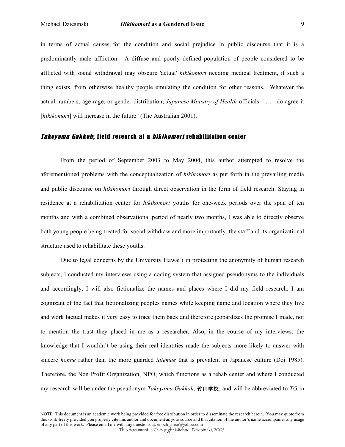in terms of actual causes for the condition and social prejudice in public discourse that it is a predominantly male affliction. A diffuse and poorly defined population of people considered to be afflicted with social withdrawal may obscure 'actual' *hikikomori* needing medical treatment, if such a thing exists, from otherwise healthy people emulating the condition for other reasons. Whatever the actual numbers, age rage, or gender distribution, *Japanese Ministry of Health* officials " . . . do agree it [*hikikomori*] will increase in the future" (The Australian 2001).

### Takeyama Gakkoh; field research at a hikikomori rehabilitation center

From the period of September 2003 to May 2004, this author attempted to resolve the aforementioned problems with the conceptualization of *hikikomori* as put forth in the prevailing media and public discourse on *hikikomori* through direct observation in the form of field research. Staying in residence at a rehabilitation center for *hikikomori* youths for one-week periods over the span of ten months and with a combined observational period of nearly two months, I was able to directly observe both young people being treated for social withdraw and more importantly, the staff and its organizational structure used to rehabilitate these youths.

Due to legal concerns by the University Hawai'i in protecting the anonymity of human research subjects, I conducted my interviews using a coding system that assigned pseudonyms to the individuals and accordingly, I will also fictionalize the names and places where I did my field research. I am cognizant of the fact that fictionalizing peoples names while keeping name and location where they live and work factual makes it very easy to trace them back and therefore jeopardizes the promise I made, not to mention the trust they placed in me as a researcher. Also, in the course of my interviews, the knowledge that I wouldn't be using their real identities made the subjects more likely to answer with sincere *honne* rather than the more guarded *tatemae* that is prevalent in Japanese culture (Doi 1985). Therefore, the Non Profit Organization, NPO, which functions as a rehab center and where I conducted my research will be under the pseudonym *Takeyama Gakkoh*, 竹山学校, and will be abbreviated to TG in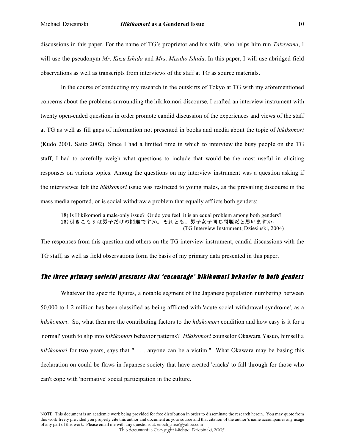discussions in this paper. For the name of TG's proprietor and his wife, who helps him run *Takeyama*, I will use the pseudonym *Mr. Kazu Ishida* and *Mrs. Mizuho Ishida*. In this paper, I will use abridged field observations as well as transcripts from interviews of the staff at TG as source materials.

In the course of conducting my research in the outskirts of Tokyo at TG with my aforementioned concerns about the problems surrounding the hikikomori discourse, I crafted an interview instrument with twenty open-ended questions in order promote candid discussion of the experiences and views of the staff at TG as well as fill gaps of information not presented in books and media about the topic of *hikikomori* (Kudo 2001, Saito 2002). Since I had a limited time in which to interview the busy people on the TG staff, I had to carefully weigh what questions to include that would be the most useful in eliciting responses on various topics. Among the questions on my interview instrument was a question asking if the interviewee felt the *hikikomori* issue was restricted to young males, as the prevailing discourse in the mass media reported, or is social withdraw a problem that equally afflicts both genders:

18) Is Hikikomori a male-only issue? Or do you feel it is an equal problem among both genders? 18)引きこもりは男子だけの問題ですか。それとも、男子女子同じ問題だと思いますか。 (TG Interview Instrument, Dziesinski, 2004)

The responses from this question and others on the TG interview instrument, candid discussions with the TG staff, as well as field observations form the basis of my primary data presented in this paper.

## The three primary societal pressures that 'encourage' hikikomori behavior in both genders

Whatever the specific figures, a notable segment of the Japanese population numbering between 50,000 to 1.2 million has been classified as being afflicted with 'acute social withdrawal syndrome', as a *hikikomori*. So, what then are the contributing factors to the *hikikomori* condition and how easy is it for a 'normal' youth to slip into *hikikomori* behavior patterns? *Hikikomori* counselor Okawara Yasuo, himself a *hikikomori* for two years, says that " . . . anyone can be a victim." What Okawara may be basing this declaration on could be flaws in Japanese society that have created 'cracks' to fall through for those who can't cope with 'normative' social participation in the culture.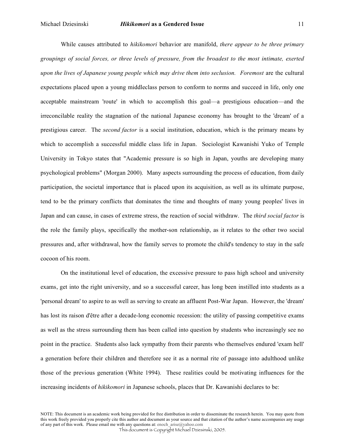While causes attributed to *hikikomori* behavior are manifold, *there appear to be three primary groupings of social forces, or three levels of pressure, from the broadest to the most intimate, exerted upon the lives of Japanese young people which may drive them into seclusion. Foremost* are the cultural expectations placed upon a young middleclass person to conform to norms and succeed in life, only one acceptable mainstream 'route' in which to accomplish this goal—a prestigious education—and the irreconcilable reality the stagnation of the national Japanese economy has brought to the 'dream' of a prestigious career. The *second factor* is a social institution, education, which is the primary means by which to accomplish a successful middle class life in Japan. Sociologist Kawanishi Yuko of Temple University in Tokyo states that "Academic pressure is so high in Japan, youths are developing many psychological problems" (Morgan 2000). Many aspects surrounding the process of education, from daily participation, the societal importance that is placed upon its acquisition, as well as its ultimate purpose, tend to be the primary conflicts that dominates the time and thoughts of many young peoples' lives in Japan and can cause, in cases of extreme stress, the reaction of social withdraw. The *third social factor* is the role the family plays, specifically the mother-son relationship, as it relates to the other two social pressures and, after withdrawal, how the family serves to promote the child's tendency to stay in the safe cocoon of his room.

On the institutional level of education, the excessive pressure to pass high school and university exams, get into the right university, and so a successful career, has long been instilled into students as a 'personal dream' to aspire to as well as serving to create an affluent Post-War Japan. However, the 'dream' has lost its raison d'être after a decade-long economic recession: the utility of passing competitive exams as well as the stress surrounding them has been called into question by students who increasingly see no point in the practice. Students also lack sympathy from their parents who themselves endured 'exam hell' a generation before their children and therefore see it as a normal rite of passage into adulthood unlike those of the previous generation (White 1994). These realities could be motivating influences for the increasing incidents of *hikikomori* in Japanese schools, places that Dr. Kawanishi declares to be: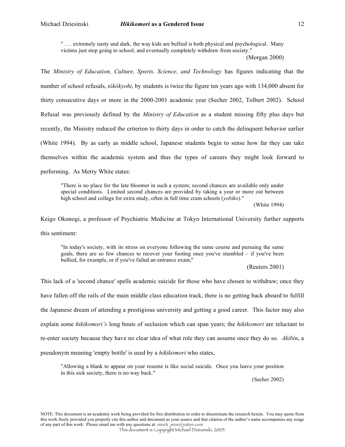" . . . extremely nasty and dark, the way kids are bullied is both physical and psychological. Many victims just stop going to school, and eventually completely withdraw from society."

(Morgan 2000)

The *Ministry of Education, Culture, Sports, Science, and Technology* has figures indicating that the number of school refusals, *tôkôkyohi*, by students is twice the figure ten years ago with 134,000 absent for thirty consecutive days or more in the 2000-2001 academic year (Secher 2002, Tolbert 2002). School Refusal was previously defined by the *Ministry of Education* as a student missing fifty plus days but recently, the Ministry reduced the criterion to thirty days in order to catch the delinquent behavior earlier (White 1994). By as early as middle school, Japanese students begin to sense how far they can take themselves within the academic system and thus the types of careers they might look forward to performing. As Merry White states:

"There is no place for the late bloomer in such a system; second chances are available only under special conditions. Limited second chances are provided by taking a year or more out between high school and college for extra study, often in full time cram schools (*yobiko*)."

(White 1994)

Keigo Okonogi, a professor of Psychiatric Medicine at Tokyo International University further supports this sentiment:

"In today's society, with its stress on everyone following the same course and pursuing the same goals, there are so few chances to recover your footing once you've stumbled – if you've been bullied, for example, or if you've failed an entrance exam,"

(Reuters 2001)

This lack of a 'second chance' spells academic suicide for those who have chosen to withdraw; once they have fallen off the rails of the main middle class education track, there is no getting back aboard to fulfill the Japanese dream of attending a prestigious university and getting a good career. This factor may also explain some *hikikomori's* long bouts of seclusion which can span years; the *hikikomori* are reluctant to re-enter society because they have no clear idea of what role they can assume once they do so. *Akibin*, a pseudonym meaning 'empty bottle' is used by a *hikikomori* who states,

"Allowing a blank to appear on your resume is like social suicide. Once you leave your position in this sick society, there is no way back."

(Secher 2002)

NOTE: This document is an academic work being provided for free distribution in order to disseminate the research herein. You may quote from this work freely provided you properly cite this author and document as your source and that citation of the author's name accompanies any usage of any part of this work. Please email me with any questions at: enoch\_arise@yahoo.com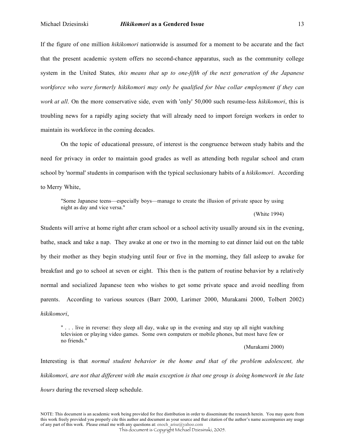#### Michael Dziesinski *Hikikomori* **as a Gendered Issue** 13

If the figure of one million *hikikomori* nationwide is assumed for a moment to be accurate and the fact that the present academic system offers no second-chance apparatus, such as the community college system in the United States*, this means that up to one-fifth of the next generation of the Japanese workforce who were formerly hikikomori may only be qualified for blue collar employment if they can work at all*. On the more conservative side, even with 'only' 50,000 such resume-less *hikikomori*, this is troubling news for a rapidly aging society that will already need to import foreign workers in order to maintain its workforce in the coming decades.

On the topic of educational pressure, of interest is the congruence between study habits and the need for privacy in order to maintain good grades as well as attending both regular school and cram school by 'normal' students in comparison with the typical seclusionary habits of a *hikikomori*. According to Merry White,

"Some Japanese teens—especially boys—manage to create the illusion of private space by using night as day and vice versa."

(White 1994)

Students will arrive at home right after cram school or a school activity usually around six in the evening, bathe, snack and take a nap. They awake at one or two in the morning to eat dinner laid out on the table by their mother as they begin studying until four or five in the morning, they fall asleep to awake for breakfast and go to school at seven or eight. This then is the pattern of routine behavior by a relatively normal and socialized Japanese teen who wishes to get some private space and avoid needling from parents. According to various sources (Barr 2000, Larimer 2000, Murakami 2000, Tolbert 2002) *hikikomori*,

" . . . live in reverse: they sleep all day, wake up in the evening and stay up all night watching television or playing video games. Some own computers or mobile phones, but most have few or no friends."

(Murakami 2000)

Interesting is that *normal student behavior in the home and that of the problem adolescent, the hikikomori, are not that different with the main exception is that one group is doing homework in the late hours* during the reversed sleep schedule.

NOTE: This document is an academic work being provided for free distribution in order to disseminate the research herein. You may quote from this work freely provided you properly cite this author and document as your source and that citation of the author's name accompanies any usage of any part of this work. Please email me with any questions at: enoch\_arise@yahoo.com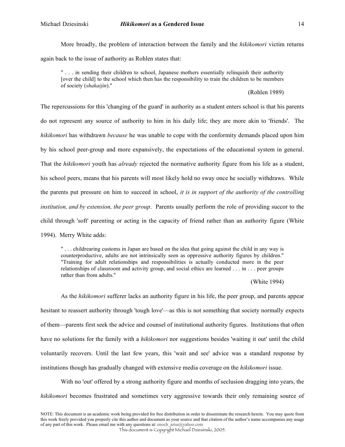More broadly, the problem of interaction between the family and the *hikikomori* victim returns again back to the issue of authority as Rohlen states that:

" . . . in sending their children to school, Japanese mothers essentially relinquish their authority [over the child] to the school which then has the responsibility to train the children to be members of society (*shakaijin*)."

(Rohlen 1989)

The repercussions for this 'changing of the guard' in authority as a student enters school is that his parents do not represent any source of authority to him in his daily life; they are more akin to 'friends'. The *hikikomori* has withdrawn *because* he was unable to cope with the conformity demands placed upon him by his school peer-group and more expansively, the expectations of the educational system in general. That the *hikikomori* youth has *already* rejected the normative authority figure from his life as a student, his school peers, means that his parents will most likely hold no sway once he socially withdraws. While the parents put pressure on him to succeed in school, *it is in support of the authority of the controlling institution, and by extension, the peer group*. Parents usually perform the role of providing succor to the child through 'soft' parenting or acting in the capacity of friend rather than an authority figure (White 1994). Merry White adds:

" . . . childrearing customs in Japan are based on the idea that going against the child in any way is counterproductive, adults are not intrinsically seen as oppressive authority figures by children." "Training for adult relationships and responsibilities is actually conducted more in the peer relationships of classroom and activity group, and social ethics are learned . . . in . . . peer groups rather than from adults."

(White 1994)

As the *hikikomori* sufferer lacks an authority figure in his life, the peer group, and parents appear hesitant to reassert authority through 'tough love'—as this is not something that society normally expects of them—parents first seek the advice and counsel of institutional authority figures. Institutions that often have no solutions for the family with a *hikikomori* nor suggestions besides 'waiting it out' until the child voluntarily recovers. Until the last few years, this 'wait and see' advice was a standard response by institutions though has gradually changed with extensive media coverage on the *hikikomori* issue.

With no 'out' offered by a strong authority figure and months of seclusion dragging into years, the *hikikomori* becomes frustrated and sometimes very aggressive towards their only remaining source of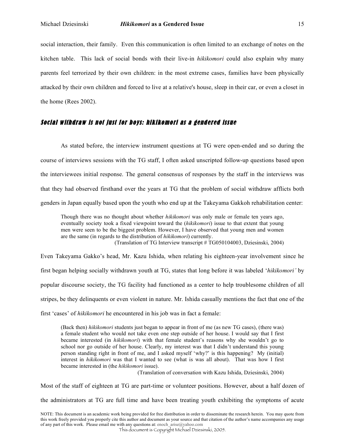social interaction, their family. Even this communication is often limited to an exchange of notes on the kitchen table. This lack of social bonds with their live-in *hikikomori* could also explain why many parents feel terrorized by their own children: in the most extreme cases, families have been physically attacked by their own children and forced to live at a relative's house, sleep in their car, or even a closet in the home (Rees 2002).

## Social withdraw is not just for boys: hikikomori as a gendered issue

As stated before, the interview instrument questions at TG were open-ended and so during the course of interviews sessions with the TG staff, I often asked unscripted follow-up questions based upon the interviewees initial response. The general consensus of responses by the staff in the interviews was that they had observed firsthand over the years at TG that the problem of social withdraw afflicts both genders in Japan equally based upon the youth who end up at the Takeyama Gakkoh rehabilitation center:

Though there was no thought about whether *hikikomori* was only male or female ten years ago, eventually society took a fixed viewpoint toward the (*hikikomori*) issue to that extent that young men were seen to be the biggest problem. However, I have observed that young men and women are the same (in regards to the distribution of *hikikomori*) currently. (Translation of TG Interview transcript # TG050104003, Dziesinski, 2004)

Even Takeyama Gakko's head, Mr. Kazu Ishida, when relating his eighteen-year involvement since he first began helping socially withdrawn youth at TG, states that long before it was labeled '*hikikomori'* by popular discourse society, the TG facility had functioned as a center to help troublesome children of all stripes, be they delinquents or even violent in nature. Mr. Ishida casually mentions the fact that one of the

first 'cases' of *hikikomori* he encountered in his job was in fact a female:

(Back then) *hikikomori* students just began to appear in front of me (as new TG cases), (there was) a female student who would not take even one step outside of her house. I would say that I first became interested (in *hikikomori*) with that female student's reasons why she wouldn't go to school nor go outside of her house. Clearly, my interest was that I didn't understand this young person standing right in front of me, and I asked myself 'why?' is this happening? My (initial) interest in *hikikomori* was that I wanted to see (what is was all about). That was how I first became interested in (the *hikikomori* issue).

(Translation of conversation with Kazu Ishida, Dziesinski, 2004)

Most of the staff of eighteen at TG are part-time or volunteer positions. However, about a half dozen of

the administrators at TG are full time and have been treating youth exhibiting the symptoms of acute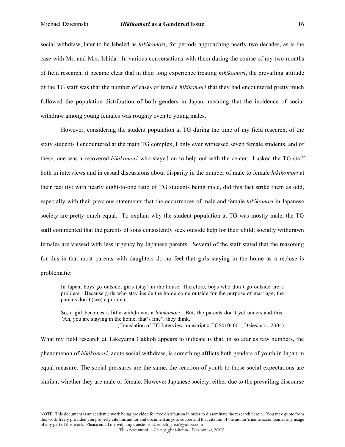social withdraw, later to be labeled as *hikikomori*, for periods approaching nearly two decades, as is the case with Mr. and Mrs. Ishida. In various conversations with them during the course of my two months of field research, it became clear that in their long experience treating *hikikomori*, the prevailing attitude of the TG staff was that the number of cases of female *hikikomori* that they had encountered pretty much followed the population distribution of both genders in Japan, meaning that the incidence of social withdraw among young females was roughly even to young males.

However, considering the student population at TG during the time of my field research, of the sixty students I encountered at the main TG complex, I only ever witnessed seven female students, and of these, one was a recovered *hikikomori* who stayed on to help out with the center. I asked the TG staff both in interviews and in casual discussions about disparity in the number of male to female *hikikomori* at their facility: with nearly eight-to-one ratio of TG students being male, did this fact strike them as odd, especially with their previous statements that the occurrences of male and female *hikikomori* in Japanese society are pretty much equal. To explain why the student population at TG was mostly male, the TG staff commented that the parents of sons consistently seek outside help for their child; socially withdrawn females are viewed with less urgency by Japanese parents. Several of the staff stated that the reasoning for this is that most parents with daughters do no feel that girls staying in the home as a recluse is problematic:

In Japan, boys go outside; girls (stay) in the house. Therefore, boys who don't go outside are a problem. Because girls who stay inside the home come outside for the purpose of marriage, the parents don't (see) a problem.

So, a girl becomes a little withdrawn, a *hikikomori*. But, the parents don't yet understand this: "Ah, you are staying in the home, that's fine", they think. (Translation of TG Interview transcript # TG50104001, Dziesinski, 2004)

What my field research at Takeyama Gakkoh appears to indicate is that, in so afar as raw numbers, the phenomenon of *hikikomori*, acute social withdraw, is something afflicts both genders of youth in Japan in equal measure. The social pressures are the same, the reaction of youth to those social expectations are similar, whether they are male or female. However Japanese society, either due to the prevailing discourse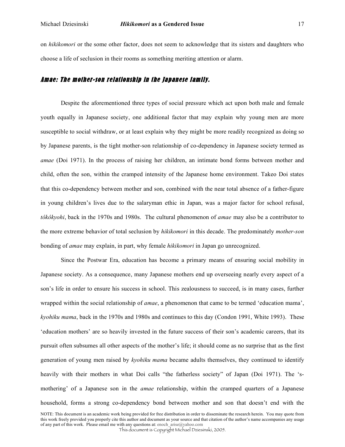on *hikikomori* or the some other factor, does not seem to acknowledge that its sisters and daughters who choose a life of seclusion in their rooms as something meriting attention or alarm.

### Amae: The mother-son relationship in the Japanese family.

Despite the aforementioned three types of social pressure which act upon both male and female youth equally in Japanese society, one additional factor that may explain why young men are more susceptible to social withdraw, or at least explain why they might be more readily recognized as doing so by Japanese parents, is the tight mother-son relationship of co-dependency in Japanese society termed as *amae* (Doi 1971). In the process of raising her children, an intimate bond forms between mother and child, often the son, within the cramped intensity of the Japanese home environment. Takeo Doi states that this co-dependency between mother and son, combined with the near total absence of a father-figure in young children's lives due to the salaryman ethic in Japan, was a major factor for school refusal, *tôkôkyohi*, back in the 1970s and 1980s. The cultural phenomenon of *amae* may also be a contributor to the more extreme behavior of total seclusion by *hikikomori* in this decade. The predominately *mother-son* bonding of *amae* may explain, in part, why female *hikikomori* in Japan go unrecognized.

Since the Postwar Era, education has become a primary means of ensuring social mobility in Japanese society. As a consequence, many Japanese mothers end up overseeing nearly every aspect of a son's life in order to ensure his success in school. This zealousness to succeed, is in many cases, further wrapped within the social relationship of *amae*, a phenomenon that came to be termed 'education mama', *kyohiku mama*, back in the 1970s and 1980s and continues to this day (Condon 1991, White 1993). These 'education mothers' are so heavily invested in the future success of their son's academic careers, that its pursuit often subsumes all other aspects of the mother's life; it should come as no surprise that as the first generation of young men raised by *kyohiku mama* became adults themselves, they continued to identify heavily with their mothers in what Doi calls "the fatherless society" of Japan (Doi 1971). The 'smothering' of a Japanese son in the *amae* relationship, within the cramped quarters of a Japanese household, forms a strong co-dependency bond between mother and son that doesn't end with the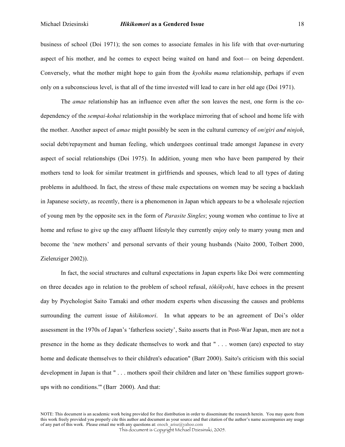#### Michael Dziesinski *Hikikomori* **as a Gendered Issue** 18

business of school (Doi 1971); the son comes to associate females in his life with that over-nurturing aspect of his mother, and he comes to expect being waited on hand and foot— on being dependent. Conversely, what the mother might hope to gain from the *kyohiku mama* relationship, perhaps if even only on a subconscious level, is that all of the time invested will lead to care in her old age (Doi 1971).

The *amae* relationship has an influence even after the son leaves the nest, one form is the codependency of the *sempai-kohai* relationship in the workplace mirroring that of school and home life with the mother. Another aspect of *amae* might possibly be seen in the cultural currency of *on*/*giri and ninjoh*, social debt/repayment and human feeling, which undergoes continual trade amongst Japanese in every aspect of social relationships (Doi 1975). In addition, young men who have been pampered by their mothers tend to look for similar treatment in girlfriends and spouses, which lead to all types of dating problems in adulthood. In fact, the stress of these male expectations on women may be seeing a backlash in Japanese society, as recently, there is a phenomenon in Japan which appears to be a wholesale rejection of young men by the opposite sex in the form of *Parasite Singles*; young women who continue to live at home and refuse to give up the easy affluent lifestyle they currently enjoy only to marry young men and become the 'new mothers' and personal servants of their young husbands (Naito 2000, Tolbert 2000, Zielenziger 2002)).

In fact, the social structures and cultural expectations in Japan experts like Doi were commenting on three decades ago in relation to the problem of school refusal, *tôkôkyohi*, have echoes in the present day by Psychologist Saito Tamaki and other modern experts when discussing the causes and problems surrounding the current issue of *hikikomori*. In what appears to be an agreement of Doi's older assessment in the 1970s of Japan's 'fatherless society', Saito asserts that in Post-War Japan, men are not a presence in the home as they dedicate themselves to work and that " . . . women (are) expected to stay home and dedicate themselves to their children's education" (Barr 2000). Saito's criticism with this social development in Japan is that " . . . mothers spoil their children and later on 'these families support grownups with no conditions.'" (Barr 2000). And that: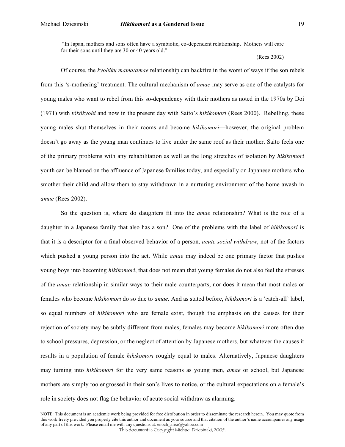"In Japan, mothers and sons often have a symbiotic, co-dependent relationship. Mothers will care for their sons until they are 30 or 40 years old."

(Rees 2002)

Of course, the *kyohiku mama/amae* relationship can backfire in the worst of ways if the son rebels from this 's-mothering' treatment. The cultural mechanism of *amae* may serve as one of the catalysts for young males who want to rebel from this so-dependency with their mothers as noted in the 1970s by Doi (1971) with *tôkôkyohi* and now in the present day with Saito's *hikikomori* (Rees 2000). Rebelling, these young males shut themselves in their rooms and become *hikikomori*—however, the original problem doesn't go away as the young man continues to live under the same roof as their mother. Saito feels one of the primary problems with any rehabilitation as well as the long stretches of isolation by *hikikomori* youth can be blamed on the affluence of Japanese families today, and especially on Japanese mothers who smother their child and allow them to stay withdrawn in a nurturing environment of the home awash in *amae* (Rees 2002).

So the question is, where do daughters fit into the *amae* relationship? What is the role of a daughter in a Japanese family that also has a son? One of the problems with the label of *hikikomori* is that it is a descriptor for a final observed behavior of a person, *acute social withdraw*, not of the factors which pushed a young person into the act. While *amae* may indeed be one primary factor that pushes young boys into becoming *hikikomori*, that does not mean that young females do not also feel the stresses of the *amae* relationship in similar ways to their male counterparts, nor does it mean that most males or females who become *hikikomori* do so due to *amae*. And as stated before, *hikikomori* is a 'catch-all' label, so equal numbers of *hikikomori* who are female exist, though the emphasis on the causes for their rejection of society may be subtly different from males; females may become *hikikomori* more often due to school pressures, depression, or the neglect of attention by Japanese mothers, but whatever the causes it results in a population of female *hikikomori* roughly equal to males. Alternatively, Japanese daughters may turning into *hikikomori* for the very same reasons as young men, *amae* or school, but Japanese mothers are simply too engrossed in their son's lives to notice, or the cultural expectations on a female's role in society does not flag the behavior of acute social withdraw as alarming.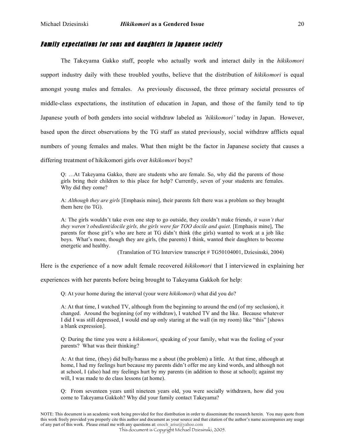## Family expectations for sons and daughters in Japanese society

The Takeyama Gakko staff, people who actually work and interact daily in the *hikikomori* support industry daily with these troubled youths, believe that the distribution of *hikikomori* is equal amongst young males and females. As previously discussed, the three primary societal pressures of middle-class expectations, the institution of education in Japan, and those of the family tend to tip Japanese youth of both genders into social withdraw labeled as *'hikikomori'* today in Japan. However, based upon the direct observations by the TG staff as stated previously, social withdraw afflicts equal numbers of young females and males. What then might be the factor in Japanese society that causes a differing treatment of hikikomori girls over *hikikomori* boys?

Q: …At Takeyama Gakko, there are students who are female. So, why did the parents of those girls bring their children to this place for help? Currently, seven of your students are females. Why did they come?

A: *Although they are girls* [Emphasis mine], their parents felt there was a problem so they brought them here (to TG).

A: The girls wouldn't take even one step to go outside, they couldn't make friends, *it wasn't that they weren't obedient/docile girls, the girls were far TOO docile and quiet*. [Emphasis mine], The parents for those girl's who are here at TG didn't think (the girls) wanted to work at a job like boys. What's more, though they are girls, (the parents) I think, wanted their daughters to become energetic and healthy.

(Translation of TG Interview transcript # TG50104001, Dziesinski, 2004)

Here is the experience of a now adult female recovered *hikikomori* that I interviewed in explaining her

experiences with her parents before being brought to Takeyama Gakkoh for help:

Q: At your home during the interval (your were *hikikomori*) what did you do?

A: At that time, I watched TV, although from the beginning to around the end (of my seclusion), it changed. Around the beginning (of my withdraw), I watched TV and the like. Because whatever I did I was still depressed, I would end up only staring at the wall (in my room) like "this" [shows a blank expression].

Q: During the time you were a *hikikomori*, speaking of your family, what was the feeling of your parents? What was their thinking?

A: At that time, (they) did bully/harass me a about (the problem) a little. At that time, although at home, I had my feelings hurt because my parents didn't offer me any kind words, and although not at school, I (also) had my feelings hurt by my parents (in addition to those at school); against my will, I was made to do class lessons (at home).

Q: From seventeen years until nineteen years old, you were socially withdrawn, how did you come to Takeyama Gakkoh? Why did your family contact Takeyama?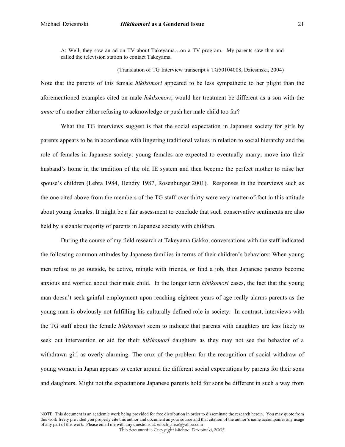A: Well, they saw an ad on TV about Takeyama…on a TV program. My parents saw that and called the television station to contact Takeyama.

(Translation of TG Interview transcript # TG50104008, Dziesinski, 2004)

Note that the parents of this female *hikikomori* appeared to be less sympathetic to her plight than the aforementioned examples cited on male *hikikomori*; would her treatment be different as a son with the *amae* of a mother either refusing to acknowledge or push her male child too far?

What the TG interviews suggest is that the social expectation in Japanese society for girls by parents appears to be in accordance with lingering traditional values in relation to social hierarchy and the role of females in Japanese society: young females are expected to eventually marry, move into their husband's home in the tradition of the old IE system and then become the perfect mother to raise her spouse's children (Lebra 1984, Hendry 1987, Rosenburger 2001). Responses in the interviews such as the one cited above from the members of the TG staff over thirty were very matter-of-fact in this attitude about young females. It might be a fair assessment to conclude that such conservative sentiments are also held by a sizable majority of parents in Japanese society with children.

During the course of my field research at Takeyama Gakko, conversations with the staff indicated the following common attitudes by Japanese families in terms of their children's behaviors: When young men refuse to go outside, be active, mingle with friends, or find a job, then Japanese parents become anxious and worried about their male child. In the longer term *hikikomori* cases, the fact that the young man doesn't seek gainful employment upon reaching eighteen years of age really alarms parents as the young man is obviously not fulfilling his culturally defined role in society. In contrast, interviews with the TG staff about the female *hikikomori* seem to indicate that parents with daughters are less likely to seek out intervention or aid for their *hikikomori* daughters as they may not see the behavior of a withdrawn girl as overly alarming. The crux of the problem for the recognition of social withdraw of young women in Japan appears to center around the different social expectations by parents for their sons and daughters. Might not the expectations Japanese parents hold for sons be different in such a way from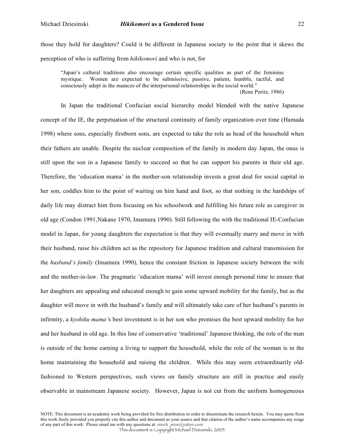those they hold for daughters? Could it be different in Japanese society to the point that it skews the perception of who is suffering from *hikikomori* and who is not, for

"Japan's cultural traditions also encourage certain specific qualities as part of the feminine mystique. Women are expected to be submissive, passive, patient, humble, tactful, and consciously adept in the nuances of the interpersonal relationships in the social world."

(Rene Peritz, 1986)

In Japan the traditional Confucian social hierarchy model blended with the native Japanese concept of the IE, the perpetuation of the structural continuity of family organization over time (Hamada 1998) where sons, especially firstborn sons, are expected to take the role as head of the household when their fathers are unable. Despite the nuclear composition of the family in modern day Japan, the onus is still upon the son in a Japanese family to succeed so that he can support his parents in their old age. Therefore, the 'education mama' in the mother-son relationship invests a great deal for social capital in her son, coddles him to the point of waiting on him hand and foot, so that nothing in the hardships of daily life may distract him from focusing on his schoolwork and fulfilling his future role as caregiver in old age (Condon 1991,Nakane 1970, Imamura 1990). Still following the with the traditional IE-Confucian model in Japan, for young daughters the expectation is that they will eventually marry and move in with their husband, raise his children act as the repository for Japanese tradition and cultural transmission for the *husband's family* (Imamura 1990)*,* hence the constant friction in Japanese society between the wife and the mother-in-law. The pragmatic 'education mama' will invest enough personal time to ensure that her daughters are appealing and educated enough to gain some upward mobility for the family, but as the daughter will move in with the husband's family and will ultimately take care of her husband's parents in infirmity, a *kyohiku mama'*s best investment is in her son who promises the best upward mobility for her and her husband in old age. In this line of conservative 'traditional' Japanese thinking, the role of the man is outside of the home earning a living to support the household, while the role of the woman is in the home maintaining the household and raising the children. While this may seem extraordinarily oldfashioned to Western perspectives, such views on family structure are still in practice and easily observable in mainstream Japanese society. However, Japan is not cut from the uniform homogeneous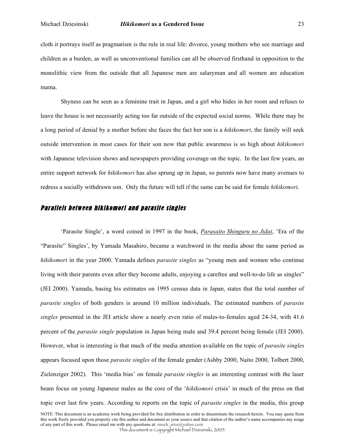cloth it portrays itself as pragmatism is the rule in real life: divorce, young mothers who see marriage and children as a burden, as well as unconventional families can all be observed firsthand in opposition to the monolithic view from the outside that all Japanese men are salaryman and all women are education mama.

Shyness can be seen as a feminine trait in Japan, and a girl who hides in her room and refuses to leave the house is not necessarily acting too far outside of the expected social norms. While there may be a long period of denial by a mother before she faces the fact her son is a *hikikomori*, the family will seek outside intervention in most cases for their son now that public awareness is so high about *hikikomori* with Japanese television shows and newspapers providing coverage on the topic. In the last few years, an entire support network for *hikikomori* has also sprung up in Japan, so parents now have many avenues to redress a socially withdrawn son. Only the future will tell if the same can be said for female *hikikomori*.

## Parallels between hikikomori and parasite singles

'Parasite Single', a word coined in 1997 in the book, *Parasaito Shinguru no Jidai*, 'Era of the "Parasite" Singles', by Yamada Masahiro, became a watchword in the media about the same period as *hikikomori* in the year 2000. Yamada defines *parasite singles* as "young men and women who continue living with their parents even after they become adults, enjoying a carefree and well-to-do life as singles" (JEI 2000). Yamada, basing his estimates on 1995 census data in Japan, states that the total number of *parasite singles* of both genders is around 10 million individuals. The estimated numbers of *parasite singles* presented in the JEI article show a nearly even ratio of males-to-females aged 24-34, with 41.6 percent of the *parasite single* population in Japan being male and 39.4 percent being female (JEI 2000). However, what is interesting is that much of the media attention available on the topic of *parasite singles* appears focused upon those *parasite singles* of the female gender (Ashby 2000, Naito 2000, Tolbert 2000, Zielenziger 2002). This 'media bias' on female *parasite singles* is an interesting contrast with the laser beam focus on young Japanese males as the core of the '*hikikomori* crisis' in much of the press on that topic over last few years. According to reports on the topic of *parasite singles* in the media, this group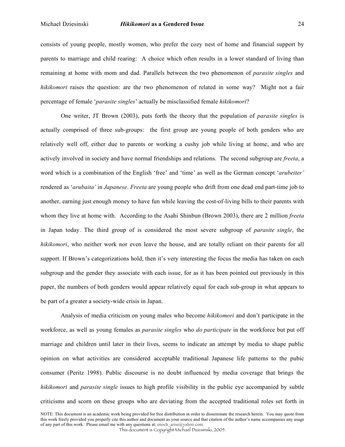consists of young people, mostly women, who prefer the cozy nest of home and financial support by parents to marriage and child rearing: A choice which often results in a lower standard of living than remaining at home with mom and dad. Parallels between the two phenomenon of *parasite singles* and *hikikomori* raises the question: are the two phenomenon of related in some way? Might not a fair percentage of female '*parasite singles*' actually be misclassified female *hikikomori*?

One writer, JT Brown (2003), puts forth the theory that the population of *parasite singles* is actually comprised of three sub-groups: the first group are young people of both genders who are relatively well off, either due to parents or working a cushy job while living at home, and who are actively involved in society and have normal friendships and relations. The second subgroup are *freeta*, a word which is a combination of the English 'free' and 'time' as well as the German concept '*arubeiter'* rendered as '*arubaita'* in *Japanese*. *Freeta* are young people who drift from one dead end part-time job to another, earning just enough money to have fun while leaving the cost-of-living bills to their parents with whom they live at home with. According to the Asahi Shinbun (Brown 2003), there are 2 million *freeta* in Japan today. The third group of is considered the most severe subgroup of *parasite single*, the *hikikomori*, who neither work nor even leave the house, and are totally reliant on their parents for all support. If Brown's categorizations hold, then it's very interesting the focus the media has taken on each subgroup and the gender they associate with each issue, for as it has been pointed out previously in this paper, the numbers of both genders would appear relatively equal for each sub-group in what appears to be part of a greater a society-wide crisis in Japan.

Analysis of media criticism on young males who become *hikikomori* and don't participate in the workforce, as well as young females as *parasite singles* who *do participate* in the workforce but put off marriage and children until later in their lives, seems to indicate an attempt by media to shape public opinion on what activities are considered acceptable traditional Japanese life patterns to the pubic consumer (Peritz 1998). Public discourse is no doubt influenced by media coverage that brings the *hikikomori* and *parasite single* issues to high profile visibility in the public eye accompanied by subtle criticisms and scorn on these groups who are deviating from the accepted traditional roles set forth in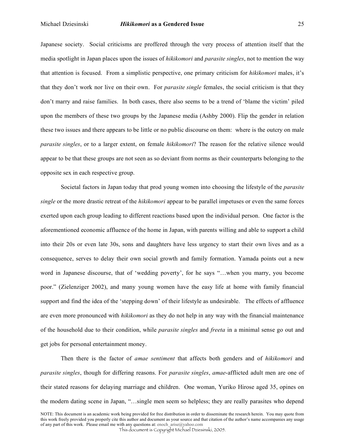#### Michael Dziesinski *Hikikomori* **as a Gendered Issue** 25

Japanese society. Social criticisms are proffered through the very process of attention itself that the media spotlight in Japan places upon the issues of *hikikomori* and *parasite singles*, not to mention the way that attention is focused. From a simplistic perspective, one primary criticism for *hikikomori* males, it's that they don't work nor live on their own. For *parasite single* females, the social criticism is that they don't marry and raise families. In both cases, there also seems to be a trend of 'blame the victim' piled upon the members of these two groups by the Japanese media (Ashby 2000). Flip the gender in relation these two issues and there appears to be little or no public discourse on them: where is the outcry on male *parasite singles*, or to a larger extent, on female *hikikomori*? The reason for the relative silence would appear to be that these groups are not seen as so deviant from norms as their counterparts belonging to the opposite sex in each respective group.

Societal factors in Japan today that prod young women into choosing the lifestyle of the *parasite single* or the more drastic retreat of the *hikikomori* appear to be parallel impetuses or even the same forces exerted upon each group leading to different reactions based upon the individual person. One factor is the aforementioned economic affluence of the home in Japan, with parents willing and able to support a child into their 20s or even late 30s, sons and daughters have less urgency to start their own lives and as a consequence, serves to delay their own social growth and family formation. Yamada points out a new word in Japanese discourse, that of 'wedding poverty', for he says "…when you marry, you become poor." (Zielenziger 2002), and many young women have the easy life at home with family financial support and find the idea of the 'stepping down' of their lifestyle as undesirable. The effects of affluence are even more pronounced with *hikikomori* as they do not help in any way with the financial maintenance of the household due to their condition, while *parasite singles* and *freeta* in a minimal sense go out and get jobs for personal entertainment money.

Then there is the factor of *amae sentiment* that affects both genders and of *hikikomori* and *parasite singles*, though for differing reasons. For *parasite singles*, *amae*-afflicted adult men are one of their stated reasons for delaying marriage and children. One woman, Yuriko Hirose aged 35, opines on the modern dating scene in Japan, "…single men seem so helpless; they are really parasites who depend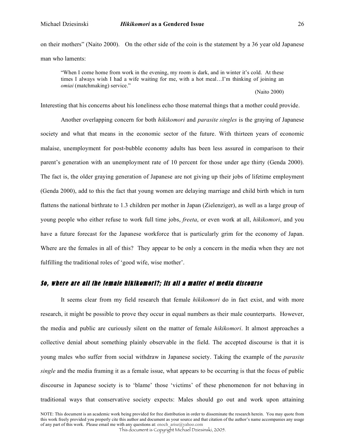on their mothers" (Naito 2000). On the other side of the coin is the statement by a 36 year old Japanese man who laments:

"When I come home from work in the evening, my room is dark, and in winter it's cold. At these times I always wish I had a wife waiting for me, with a hot meal…I'm thinking of joining an *omiai* (matchmaking) service."

(Naito 2000)

Interesting that his concerns about his loneliness echo those maternal things that a mother could provide.

Another overlapping concern for both *hikikomori* and *parasite singles* is the graying of Japanese society and what that means in the economic sector of the future. With thirteen years of economic malaise, unemployment for post-bubble economy adults has been less assured in comparison to their parent's generation with an unemployment rate of 10 percent for those under age thirty (Genda 2000). The fact is, the older graying generation of Japanese are not giving up their jobs of lifetime employment (Genda 2000), add to this the fact that young women are delaying marriage and child birth which in turn flattens the national birthrate to 1.3 children per mother in Japan (Zielenziger), as well as a large group of young people who either refuse to work full time jobs, *freeta*, or even work at all, *hikikomori*, and you have a future forecast for the Japanese workforce that is particularly grim for the economy of Japan. Where are the females in all of this? They appear to be only a concern in the media when they are not fulfilling the traditional roles of 'good wife, wise mother'.

### So, where are all the female hikikomori?; its all a matter of media discourse

It seems clear from my field research that female *hikikomori* do in fact exist, and with more research, it might be possible to prove they occur in equal numbers as their male counterparts. However, the media and public are curiously silent on the matter of female *hikikomori*. It almost approaches a collective denial about something plainly observable in the field. The accepted discourse is that it is young males who suffer from social withdraw in Japanese society. Taking the example of the *parasite single* and the media framing it as a female issue, what appears to be occurring is that the focus of public discourse in Japanese society is to 'blame' those 'victims' of these phenomenon for not behaving in traditional ways that conservative society expects: Males should go out and work upon attaining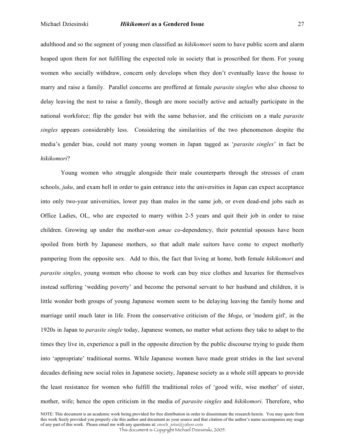adulthood and so the segment of young men classified as *hikikomori* seem to have public scorn and alarm heaped upon them for not fulfilling the expected role in society that is proscribed for them. For young

women who socially withdraw, concern only develops when they don't eventually leave the house to marry and raise a family. Parallel concerns are proffered at female *parasite singles* who also choose to delay leaving the nest to raise a family, though are more socially active and actually participate in the national workforce; flip the gender but with the same behavior, and the criticism on a male *parasite singles* appears considerably less. Considering the similarities of the two phenomenon despite the media's gender bias, could not many young women in Japan tagged as '*parasite singles*' in fact be *hikikomori*?

Young women who struggle alongside their male counterparts through the stresses of cram schools, *juku*, and exam hell in order to gain entrance into the universities in Japan can expect acceptance into only two-year universities, lower pay than males in the same job, or even dead-end jobs such as Office Ladies, OL, who are expected to marry within 2-5 years and quit their job in order to raise children. Growing up under the mother-son *amae* co-dependency, their potential spouses have been spoiled from birth by Japanese mothers, so that adult male suitors have come to expect motherly pampering from the opposite sex. Add to this, the fact that living at home, both female *hikikomori* and *parasite singles*, young women who choose to work can buy nice clothes and luxuries for themselves instead suffering 'wedding poverty' and become the personal servant to her husband and children, it is little wonder both groups of young Japanese women seem to be delaying leaving the family home and marriage until much later in life. From the conservative criticism of the *Moga*, or 'modern girl', in the 1920s in Japan to *parasite single* today, Japanese women, no matter what actions they take to adapt to the times they live in, experience a pull in the opposite direction by the public discourse trying to guide them into 'appropriate' traditional norms. While Japanese women have made great strides in the last several decades defining new social roles in Japanese society, Japanese society as a whole still appears to provide the least resistance for women who fulfill the traditional roles of 'good wife, wise mother' of sister, mother, wife; hence the open criticism in the media of *parasite singles* and *hikikomori*. Therefore, who

NOTE: This document is an academic work being provided for free distribution in order to disseminate the research herein. You may quote from this work freely provided you properly cite this author and document as your source and that citation of the author's name accompanies any usage of any part of this work. Please email me with any questions at: enoch\_arise@yahoo.com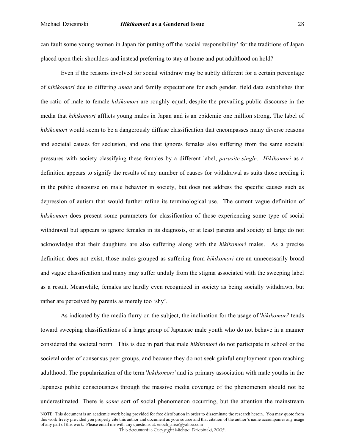#### Michael Dziesinski *Hikikomori* **as a Gendered Issue** 28

can fault some young women in Japan for putting off the 'social responsibility' for the traditions of Japan placed upon their shoulders and instead preferring to stay at home and put adulthood on hold?

Even if the reasons involved for social withdraw may be subtly different for a certain percentage of *hikikomori* due to differing *amae* and family expectations for each gender, field data establishes that the ratio of male to female *hikikomori* are roughly equal, despite the prevailing public discourse in the media that *hikikomori* afflicts young males in Japan and is an epidemic one million strong. The label of *hikikomori* would seem to be a dangerously diffuse classification that encompasses many diverse reasons and societal causes for seclusion, and one that ignores females also suffering from the same societal pressures with society classifying these females by a different label, *parasite single*. *Hikikomori* as a definition appears to signify the results of any number of causes for withdrawal as suits those needing it in the public discourse on male behavior in society, but does not address the specific causes such as depression of autism that would further refine its terminological use. The current vague definition of *hikikomori* does present some parameters for classification of those experiencing some type of social withdrawal but appears to ignore females in its diagnosis, or at least parents and society at large do not acknowledge that their daughters are also suffering along with the *hikikomori* males. As a precise definition does not exist, those males grouped as suffering from *hikikomori* are an unnecessarily broad and vague classification and many may suffer unduly from the stigma associated with the sweeping label as a result. Meanwhile, females are hardly even recognized in society as being socially withdrawn, but rather are perceived by parents as merely too 'shy'.

As indicated by the media flurry on the subject, the inclination for the usage of '*hikikomori*' tends toward sweeping classifications of a large group of Japanese male youth who do not behave in a manner considered the societal norm. This is due in part that male *hikikomori* do not participate in school or the societal order of consensus peer groups, and because they do not seek gainful employment upon reaching adulthood. The popularization of the term '*hikikomori'* and its primary association with male youths in the Japanese public consciousness through the massive media coverage of the phenomenon should not be underestimated. There is *some* sort of social phenomenon occurring, but the attention the mainstream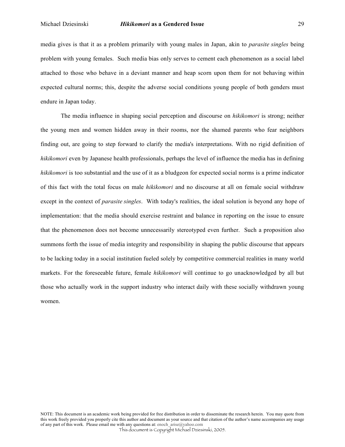media gives is that it as a problem primarily with young males in Japan, akin to *parasite singles* being problem with young females. Such media bias only serves to cement each phenomenon as a social label attached to those who behave in a deviant manner and heap scorn upon them for not behaving within expected cultural norms; this, despite the adverse social conditions young people of both genders must endure in Japan today.

The media influence in shaping social perception and discourse on *hikikomori* is strong; neither the young men and women hidden away in their rooms, nor the shamed parents who fear neighbors finding out, are going to step forward to clarify the media's interpretations. With no rigid definition of *hikikomori* even by Japanese health professionals, perhaps the level of influence the media has in defining *hikikomori* is too substantial and the use of it as a bludgeon for expected social norms is a prime indicator of this fact with the total focus on male *hikikomori* and no discourse at all on female social withdraw except in the context of *parasite singles*. With today's realities, the ideal solution is beyond any hope of implementation: that the media should exercise restraint and balance in reporting on the issue to ensure that the phenomenon does not become unnecessarily stereotyped even further. Such a proposition also summons forth the issue of media integrity and responsibility in shaping the public discourse that appears to be lacking today in a social institution fueled solely by competitive commercial realities in many world markets. For the foreseeable future, female *hikikomori* will continue to go unacknowledged by all but those who actually work in the support industry who interact daily with these socially withdrawn young women.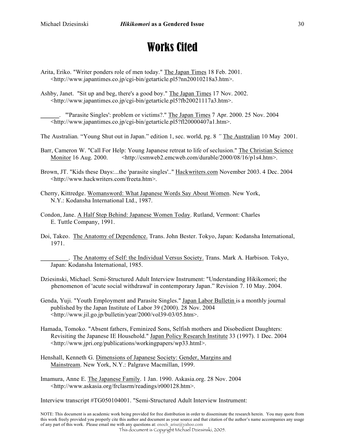# Works Cited

Arita, Eriko. "Writer ponders role of men today." The Japan Times 18 Feb. 2001. <http://www.japantimes.co.jp/cgi-bin/getarticle.pl5?nn20010218a3.htm>.

Ashby, Janet. "Sit up and beg, there's a good boy." The Japan Times 17 Nov. 2002. <http://www.japantimes.co.jp/cgi-bin/getarticle.pl5?fb20021117a3.htm>.

\_\_\_\_\_\_. "'Parasite Singles': problem or victims?." The Japan Times 7 Apr. 2000. 25 Nov. 2004 <http://www.japantimes.co.jp/cgi-bin/getarticle.pl5?fl20000407a1.htm>.

The Australian*.* "Young Shut out in Japan." edition 1, sec. world, pg. 8 *"* The Australian 10 May 2001.

Barr, Cameron W. "Call For Help: Young Japanese retreat to life of seclusion." The Christian Science Monitor 16 Aug. 2000.  $\leq$ http://csmweb2.emcweb.com/durable/2000/08/16/p1s4.htm>.

- Brown, JT. "Kids these Days:...the 'parasite singles'.." Hackwriters.com November 2003. 4 Dec. 2004 <http://www.hackwriters.com/freeta.htm>.
- Cherry, Kittredge. Womansword: What Japanese Words Say About Women. New York, N.Y.: Kodansha International Ltd., 1987.
- Condon, Jane. A Half Step Behind: Japanese Women Today. Rutland, Vermont: Charles E. Tuttle Company, 1991.
- Doi, Takeo. The Anatomy of Dependence. Trans. John Bester. Tokyo, Japan: Kodansha International, 1971.

**\_\_\_\_\_\_\_\_\_**. The Anatomy of Self: the Individual Versus Society. Trans. Mark A. Harbison. Tokyo, Japan: Kodansha International, 1985.

- Dziesinski, Michael. Semi-Structured Adult Interview Instrument: "Understanding Hikikomori; the phenomenon of 'acute social withdrawal' in contemporary Japan." Revision 7. 10 May. 2004.
- Genda, Yuji. "Youth Employment and Parasite Singles." Japan Labor Bulletin is a monthly journal published by the Japan Institute of Labor 39 (2000). 28 Nov. 2004 <http://www.jil.go.jp/bulletin/year/2000/vol39-03/05.htm>.
- Hamada, Tomoko. "Absent fathers, Feminized Sons, Selfish mothers and Disobedient Daughters: Revisiting the Japanese IE Household." Japan Policy Research Institute 33 (1997). 1 Dec. 2004 <http://www.jpri.org/publications/workingpapers/wp33.html>.
- Henshall, Kenneth G. Dimensions of Japanese Society: Gender, Margins and Mainstream. New York, N.Y.: Palgrave Macmillan, 1999.
- Imamura, Anne E. The Japanese Family. 1 Jan. 1990. Askasia.org. 28 Nov. 2004 <http://www.askasia.org/frclasrm/readings/r000128.htm>.

Interview transcript #TG050104001. "Semi-Structured Adult Interview Instrument: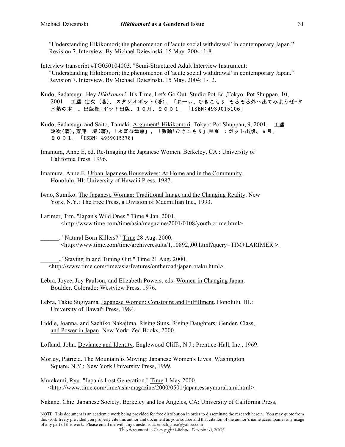"Understanding Hikikomori; the phenomenon of 'acute social withdrawal' in contemporary Japan." Revision 7. Interview. By Michael Dziesinski. 15 May. 2004: 1-8.

Interview transcript #TG050104003. "Semi-Structured Adult Interview Instrument: "Understanding Hikikomori; the phenomenon of 'acute social withdrawal' in contemporary Japan." Revision 7. Interview. By Michael Dziesinski. 15 May. 2004: 1-12.

Kudo, Sadatsugu. Hey *Hikikomori*! It's Time, Let's Go Out. Studio Pot Ed.,Tokyo: Pot Shuppan, 10, 2001. 工藤 定次 (著), スタジオポット(著)。「おーぃ、ひきこもり そろそろ外へ出てみようぜ-タ メ塾の本」。出版社:ポット出版、10月、2001。「ISBN:4939015106」

Kudo, Sadatsugu and Saito, Tamaki. Argument! Hikikomori. Tokyo: Pot Shuppan, 9, 2001. 工藤 定次(著), 斎藤 環(著), 「永冨奈津恵」。「激論!ひきこもり」東京 :ポット出版、9月、 2 0 0 1 . [ISBN: 4939015378]

Imamura, Anne E, ed. Re-Imaging the Japanese Women. Berkeley, CA.: University of California Press, 1996.

Imamura, Anne E. Urban Japanese Housewives: At Home and in the Community. Honolulu, HI: University of Hawai'i Press, 1987.

Iwao, Sumiko. The Japanese Woman: Traditional Image and the Changing Reality. New York, N.Y.: The Free Press, a Division of Macmillian Inc., 1993.

Larimer, Tim. "Japan's Wild Ones." Time 8 Jan. 2001. <http://www.time.com/time/asia/magazine/2001/0108/youth.crime.html>.

**\_\_\_\_\_\_.** "Natural Born Killers?" Time 28 Aug. 2000.  $\lt$ http://www.time.com/time/archiveresults/1,10892,,00.html?query=TIM+LARIMER >.

**\_\_\_\_\_\_.** "Staying In and Tuning Out." Time 21 Aug. 2000. <http://www.time.com/time/asia/features/ontheroad/japan.otaku.html>.

Lebra, Joyce, Joy Paulson, and Elizabeth Powers, eds. Women in Changing Japan. Boulder, Colorado: Westview Press, 1976.

Lebra, Takie Sugiyama. Japanese Women: Constraint and Fulfillment. Honolulu, HI.: University of Hawai'i Press, 1984.

Liddle, Joanna, and Sachiko Nakajima. Rising Suns, Rising Daughters: Gender, Class, and Power in Japan. New York: Zed Books, 2000.

Lofland, John. Deviance and Identity. Englewood Cliffs, N.J.: Prentice-Hall, Inc., 1969.

Morley, Patricia. The Mountain is Moving: Japanese Women's Lives. Washington Square, N.Y.: New York University Press, 1999.

Murakami, Ryu. "Japan's Lost Generation." Time 1 May 2000. <http://www.time.com/time/asia/magazine/2000/0501/japan.essaymurakami.html>.

Nakane, Chie. Japanese Society. Berkeley and los Angeles, CA: University of California Press,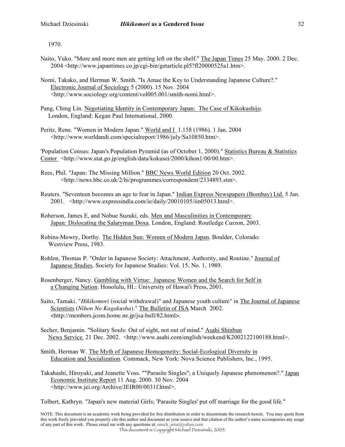1970.

- Naito, Yuko. "More and more men are getting left on the shelf." The Japan Times 25 May. 2000. 2 Dec. 2004 <http://www.japantimes.co.jp/cgi-bin/getarticle.pl5?fl20000525a1.htm>.
- Nomi, Takako, and Herman W. Smith. "Is Amae the Key to Understanding Japanese Culture?." Electronic Journal of Sociology 5 (2000). 15 Nov. 2004 <http://www.sociology.org/content/vol005.001/smith-nomi.html>.
- Pang, Ching Lin. Negotiating Identity in Contemporary Japan: The Case of Kikokushijo. London, England: Kegan Paul International, 2000.
- Peritz, Rene. "Women in Modern Japan." World and I 1.158 (1986). 1 Jan. 2004 <http://www.worldandi.com/specialreport/1986/july/Sa10850.htm>.

'Population Census: Japan's Population Pyramid (as of October 1, 2000)." Statistics Bureau & Statistics Center\_<http://www.stat.go.jp/english/data/kokusei/2000/kihon1/00/00.htm>.

- Rees, Phil. "Japan: The Missing Million." BBC News World Edition 20 Oct. 2002. <http://news.bbc.co.uk/2/hi/programmes/correspondent/2334893.stm>.
- Reuters. "Seventeen becomes an age to fear in Japan." Indian Express Newspapers (Bombay) Ltd. 5 Jan. 2001. <http://www.expressindia.com/ie/daily/20010105/iin05013.html>.
- Roberson, James E, and Nobue Suzuki, eds. Men and Masculinities in Contemporary Japan: Dislocating the Salaryman Doxa. London, England: Routledge Curzon, 2003.
- Robins-Mowry, Dorthy. The Hidden Sun: Women of Modern Japan. Boulder, Colorado: Westview Press, 1983.
- Rohlen, Thomas P. "Order in Japanese Society: Attachment, Authority, and Routine." Journal of Japanese Studies. Society for Japanese Studies: Vol. 15, No. 1, 1989.
- Rosenberger, Nancy. Gambling with Virtue: Japanese Women and the Search for Self in a Changing Nation. Honolulu, HI.: University of Hawai'i Press, 2001.
- Saito, Tamaki. "*Hikikomori* (social withdrawal)" and Japanese youth culture" in The Journal of Japanese Scientists (*Nihon No Kagakusha*)." The Bulletin of JSA March 2002. <http://members.jcom.home.ne.jp/jsa-bull/82.html>.
- Secher, Benjamin. "Solitary Souls: Out of sight, not out of mind." Asahi Shinbun News Service 21 Dec. 2002. <http://www.asahi.com/english/weekend/K2002122100188.html>.
- Smith, Herman W. The Myth of Japanese Homogeneity: Social-Ecological Diversity in Education and Socialization. Commack, New York: Nova Science Publishers, Inc., 1995.
- Takahashi, Hiroyuki, and Jeanette Voss. ""Parasite Singles"; a Uniquely Japanese phenomenon?." Japan Economic Institute Report 11 Aug. 2000. 30 Nov. 2004 <http://www.jei.org/Archive/JEIR00/0031f.html>.

Tolbert, Kathryn. "Japan's new material Girls; 'Parasite Singles' put off marriage for the good life."